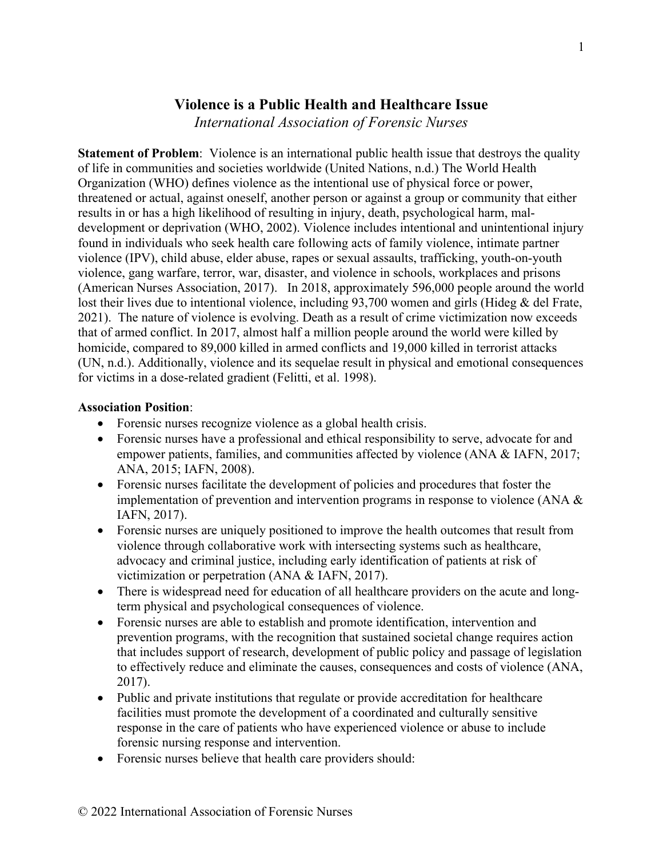## **Violence is a Public Health and Healthcare Issue**

*International Association of Forensic Nurses*

**Statement of Problem**: Violence is an international public health issue that destroys the quality of life in communities and societies worldwide (United Nations, n.d.) The World Health Organization (WHO) defines violence as the intentional use of physical force or power, threatened or actual, against oneself, another person or against a group or community that either results in or has a high likelihood of resulting in injury, death, psychological harm, maldevelopment or deprivation (WHO, 2002). Violence includes intentional and unintentional injury found in individuals who seek health care following acts of family violence, intimate partner violence (IPV), child abuse, elder abuse, rapes or sexual assaults, trafficking, youth-on-youth violence, gang warfare, terror, war, disaster, and violence in schools, workplaces and prisons (American Nurses Association, 2017). In 2018, approximately 596,000 people around the world lost their lives due to intentional violence, including 93,700 women and girls (Hideg & del Frate, 2021). The nature of violence is evolving. Death as a result of crime victimization now exceeds that of armed conflict. In 2017, almost half a million people around the world were killed by homicide, compared to 89,000 killed in armed conflicts and 19,000 killed in terrorist attacks (UN, n.d.). Additionally, violence and its sequelae result in physical and emotional consequences for victims in a dose-related gradient (Felitti, et al. 1998).

## **Association Position**:

- Forensic nurses recognize violence as a global health crisis.
- Forensic nurses have a professional and ethical responsibility to serve, advocate for and empower patients, families, and communities affected by violence (ANA & IAFN, 2017; ANA, 2015; IAFN, 2008).
- Forensic nurses facilitate the development of policies and procedures that foster the implementation of prevention and intervention programs in response to violence (ANA & IAFN, 2017).
- Forensic nurses are uniquely positioned to improve the health outcomes that result from violence through collaborative work with intersecting systems such as healthcare, advocacy and criminal justice, including early identification of patients at risk of victimization or perpetration (ANA & IAFN, 2017).
- There is widespread need for education of all healthcare providers on the acute and longterm physical and psychological consequences of violence.
- Forensic nurses are able to establish and promote identification, intervention and prevention programs, with the recognition that sustained societal change requires action that includes support of research, development of public policy and passage of legislation to effectively reduce and eliminate the causes, consequences and costs of violence (ANA, 2017).
- Public and private institutions that regulate or provide accreditation for healthcare facilities must promote the development of a coordinated and culturally sensitive response in the care of patients who have experienced violence or abuse to include forensic nursing response and intervention.
- Forensic nurses believe that health care providers should: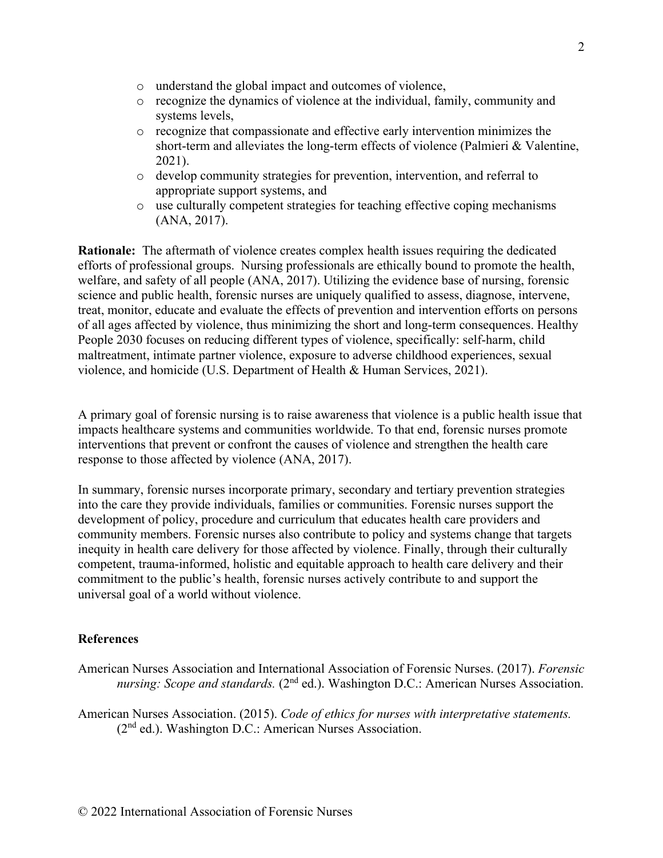- o understand the global impact and outcomes of violence,
- o recognize the dynamics of violence at the individual, family, community and systems levels,
- o recognize that compassionate and effective early intervention minimizes the short-term and alleviates the long-term effects of violence (Palmieri & Valentine, 2021).
- o develop community strategies for prevention, intervention, and referral to appropriate support systems, and
- o use culturally competent strategies for teaching effective coping mechanisms (ANA, 2017).

**Rationale:** The aftermath of violence creates complex health issues requiring the dedicated efforts of professional groups. Nursing professionals are ethically bound to promote the health, welfare, and safety of all people (ANA, 2017). Utilizing the evidence base of nursing, forensic science and public health, forensic nurses are uniquely qualified to assess, diagnose, intervene, treat, monitor, educate and evaluate the effects of prevention and intervention efforts on persons of all ages affected by violence, thus minimizing the short and long-term consequences. Healthy People 2030 focuses on reducing different types of violence, specifically: self-harm, child maltreatment, intimate partner violence, exposure to adverse childhood experiences, sexual violence, and homicide (U.S. Department of Health & Human Services, 2021).

A primary goal of forensic nursing is to raise awareness that violence is a public health issue that impacts healthcare systems and communities worldwide. To that end, forensic nurses promote interventions that prevent or confront the causes of violence and strengthen the health care response to those affected by violence (ANA, 2017).

In summary, forensic nurses incorporate primary, secondary and tertiary prevention strategies into the care they provide individuals, families or communities. Forensic nurses support the development of policy, procedure and curriculum that educates health care providers and community members. Forensic nurses also contribute to policy and systems change that targets inequity in health care delivery for those affected by violence. Finally, through their culturally competent, trauma-informed, holistic and equitable approach to health care delivery and their commitment to the public's health, forensic nurses actively contribute to and support the universal goal of a world without violence.

## **References**

American Nurses Association and International Association of Forensic Nurses. (2017). *Forensic nursing: Scope and standards.* (2<sup>nd</sup> ed.). Washington D.C.: American Nurses Association.

American Nurses Association. (2015). *Code of ethics for nurses with interpretative statements.*  (2nd ed.). Washington D.C.: American Nurses Association.